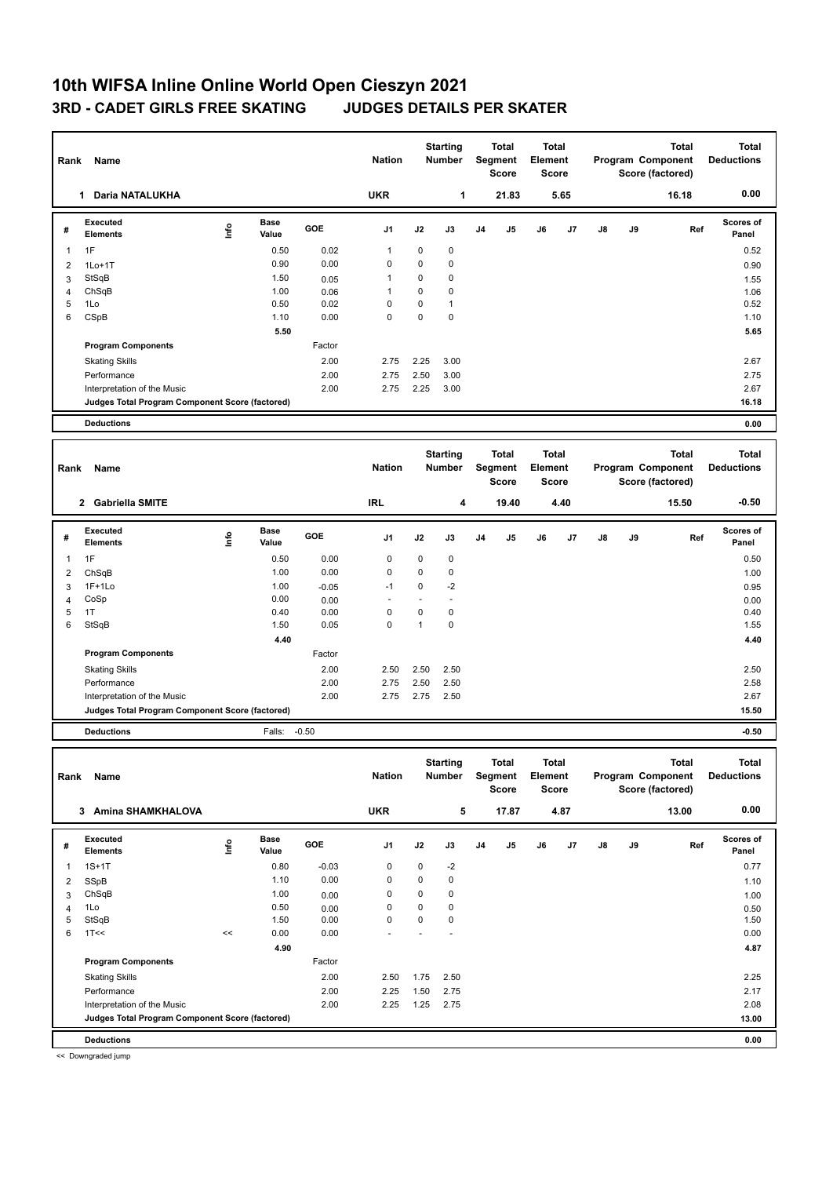## **10th WIFSA Inline Online World Open Cieszyn 2021 3RD - CADET GIRLS FREE SKATING JUDGES DETAILS PER SKATER**

| Rank                | Name                                            |      |                      |         | <b>Nation</b> |              | <b>Starting</b><br><b>Number</b> |    | <b>Total</b><br>Segment<br><b>Score</b> | Total<br>Element        | <b>Score</b> |    |    | <b>Total</b><br>Program Component<br>Score (factored) |     | <b>Total</b><br><b>Deductions</b> |
|---------------------|-------------------------------------------------|------|----------------------|---------|---------------|--------------|----------------------------------|----|-----------------------------------------|-------------------------|--------------|----|----|-------------------------------------------------------|-----|-----------------------------------|
|                     | 1 Daria NATALUKHA                               |      |                      |         | <b>UKR</b>    |              | $\mathbf{1}$                     |    | 21.83                                   |                         | 5.65         |    |    | 16.18                                                 |     | 0.00                              |
| #                   | <b>Executed</b><br><b>Elements</b>              | lnfo | <b>Base</b><br>Value | GOE     | J1            | J2           | J3                               | J4 | J5                                      | J6                      | J7           | J8 | J9 |                                                       | Ref | Scores of<br>Panel                |
| $\mathbf{1}$        | 1F                                              |      | 0.50                 | 0.02    | $\mathbf{1}$  | $\mathbf 0$  | $\mathbf 0$                      |    |                                         |                         |              |    |    |                                                       |     | 0.52                              |
| $\overline{2}$      | $1Lo+1T$                                        |      | 0.90                 | 0.00    | 0             | $\mathbf 0$  | $\pmb{0}$                        |    |                                         |                         |              |    |    |                                                       |     | 0.90                              |
| 3                   | StSqB                                           |      | 1.50                 | 0.05    | $\mathbf{1}$  | $\mathbf 0$  | 0                                |    |                                         |                         |              |    |    |                                                       |     | 1.55                              |
| $\overline{4}$      | ChSqB                                           |      | 1.00                 | 0.06    | $\mathbf{1}$  | $\mathbf 0$  | $\mathbf 0$                      |    |                                         |                         |              |    |    |                                                       |     | 1.06                              |
| 5                   | 1Lo                                             |      | 0.50                 | 0.02    | $\mathbf 0$   | $\mathbf 0$  | $\mathbf{1}$                     |    |                                         |                         |              |    |    |                                                       |     | 0.52                              |
| 6                   | CSpB                                            |      | 1.10                 | 0.00    | $\mathbf 0$   | $\mathbf 0$  | $\mathbf 0$                      |    |                                         |                         |              |    |    |                                                       |     | 1.10                              |
|                     |                                                 |      | 5.50                 |         |               |              |                                  |    |                                         |                         |              |    |    |                                                       |     | 5.65                              |
|                     | <b>Program Components</b>                       |      |                      | Factor  |               |              |                                  |    |                                         |                         |              |    |    |                                                       |     |                                   |
|                     | <b>Skating Skills</b>                           |      |                      | 2.00    | 2.75          | 2.25         | 3.00                             |    |                                         |                         |              |    |    |                                                       |     | 2.67                              |
|                     | Performance                                     |      |                      | 2.00    | 2.75          | 2.50         | 3.00                             |    |                                         |                         |              |    |    |                                                       |     | 2.75                              |
|                     | Interpretation of the Music                     |      |                      | 2.00    | 2.75          | 2.25         | 3.00                             |    |                                         |                         |              |    |    |                                                       |     | 2.67                              |
|                     | Judges Total Program Component Score (factored) |      |                      |         |               |              |                                  |    |                                         |                         |              |    |    |                                                       |     | 16.18                             |
|                     | <b>Deductions</b>                               |      |                      |         |               |              |                                  |    |                                         |                         |              |    |    |                                                       |     | 0.00                              |
|                     |                                                 |      |                      |         |               |              |                                  |    |                                         |                         |              |    |    |                                                       |     |                                   |
|                     |                                                 |      |                      |         |               |              |                                  |    |                                         |                         |              |    |    |                                                       |     |                                   |
| Rank                | Name                                            |      |                      |         | <b>Nation</b> |              | <b>Starting</b><br><b>Number</b> |    | <b>Total</b><br>Segment<br><b>Score</b> | <b>Total</b><br>Element | <b>Score</b> |    |    | <b>Total</b><br>Program Component<br>Score (factored) |     | <b>Total</b><br><b>Deductions</b> |
|                     | 2 Gabriella SMITE                               |      |                      |         | <b>IRL</b>    |              | $\overline{\mathbf{4}}$          |    | 19.40                                   |                         | 4.40         |    |    | 15.50                                                 |     | $-0.50$                           |
| #                   | <b>Executed</b><br><b>Elements</b>              | lnfo | <b>Base</b><br>Value | GOE     | J1            | J2           | J3                               | J4 | J5                                      | J6                      | J7           | J8 | J9 |                                                       | Ref | Scores of<br>Panel                |
| $\mathbf{1}$        | 1F                                              |      | 0.50                 | 0.00    | $\mathbf 0$   | 0            | $\pmb{0}$                        |    |                                         |                         |              |    |    |                                                       |     | 0.50                              |
|                     |                                                 |      | 1.00                 | 0.00    | $\mathbf 0$   | $\mathbf 0$  | $\mathbf 0$                      |    |                                         |                         |              |    |    |                                                       |     |                                   |
| $\overline{2}$<br>3 | ChSqB<br>$1F+1Lo$                               |      | 1.00                 | $-0.05$ | $-1$          | $\Omega$     | $-2$                             |    |                                         |                         |              |    |    |                                                       |     | 1.00                              |
| $\overline{4}$      | CoSp                                            |      | 0.00                 | 0.00    | ä,            | ÷.           | ä,                               |    |                                         |                         |              |    |    |                                                       |     | 0.95<br>0.00                      |
| 5                   | 1T                                              |      | 0.40                 | 0.00    | $\mathbf 0$   | $\mathbf 0$  | $\mathbf 0$                      |    |                                         |                         |              |    |    |                                                       |     | 0.40                              |
| 6                   | StSqB                                           |      | 1.50                 | 0.05    | $\Omega$      | $\mathbf{1}$ | $\mathbf 0$                      |    |                                         |                         |              |    |    |                                                       |     | 1.55                              |
|                     |                                                 |      | 4.40                 |         |               |              |                                  |    |                                         |                         |              |    |    |                                                       |     | 4.40                              |
|                     | <b>Program Components</b>                       |      |                      | Factor  |               |              |                                  |    |                                         |                         |              |    |    |                                                       |     |                                   |
|                     | <b>Skating Skills</b>                           |      |                      | 2.00    | 2.50          | 2.50         | 2.50                             |    |                                         |                         |              |    |    |                                                       |     | 2.50                              |
|                     | Performance                                     |      |                      | 2.00    | 2.75          | 2.50         | 2.50                             |    |                                         |                         |              |    |    |                                                       |     | 2.58                              |
|                     | Interpretation of the Music                     |      |                      | 2.00    | 2.75          | 2.75         | 2.50                             |    |                                         |                         |              |    |    |                                                       |     | 2.67                              |
|                     | Judges Total Program Component Score (factored) |      |                      |         |               |              |                                  |    |                                         |                         |              |    |    |                                                       |     | 15.50                             |

| Rank | Name                                            |      |                      |            | <b>Nation</b> |             | <b>Starting</b><br>Number |                | <b>Total</b><br>Segment<br><b>Score</b> | <b>Total</b><br>Element<br>Score |      |    |    | <b>Total</b><br>Program Component<br>Score (factored) | <b>Total</b><br><b>Deductions</b> |
|------|-------------------------------------------------|------|----------------------|------------|---------------|-------------|---------------------------|----------------|-----------------------------------------|----------------------------------|------|----|----|-------------------------------------------------------|-----------------------------------|
|      | Amina SHAMKHALOVA<br>3                          |      |                      |            | <b>UKR</b>    |             | 5                         |                | 17.87                                   |                                  | 4.87 |    |    | 13.00                                                 | 0.00                              |
| #    | <b>Executed</b><br><b>Elements</b>              | ١nf٥ | <b>Base</b><br>Value | <b>GOE</b> | J1            | J2          | J3                        | J <sub>4</sub> | J5                                      | J6                               | J7   | J8 | J9 | Ref                                                   | <b>Scores of</b><br>Panel         |
| 1    | $1S+1T$                                         |      | 0.80                 | $-0.03$    | 0             | 0           | $-2$                      |                |                                         |                                  |      |    |    |                                                       | 0.77                              |
| 2    | SSpB                                            |      | 1.10                 | 0.00       | 0             | 0           | 0                         |                |                                         |                                  |      |    |    |                                                       | 1.10                              |
| 3    | ChSqB                                           |      | 1.00                 | 0.00       | 0             | 0           | 0                         |                |                                         |                                  |      |    |    |                                                       | 1.00                              |
| 4    | 1Lo                                             |      | 0.50                 | 0.00       | 0             | 0           | 0                         |                |                                         |                                  |      |    |    |                                                       | 0.50                              |
| 5    | StSqB                                           |      | 1.50                 | 0.00       | $\mathbf 0$   | $\mathbf 0$ | $\mathbf 0$               |                |                                         |                                  |      |    |    |                                                       | 1.50                              |
| 6    | 1T<<                                            | <<   | 0.00                 | 0.00       |               |             |                           |                |                                         |                                  |      |    |    |                                                       | 0.00                              |
|      |                                                 |      | 4.90                 |            |               |             |                           |                |                                         |                                  |      |    |    |                                                       | 4.87                              |
|      | <b>Program Components</b>                       |      |                      | Factor     |               |             |                           |                |                                         |                                  |      |    |    |                                                       |                                   |
|      | <b>Skating Skills</b>                           |      |                      | 2.00       | 2.50          | 1.75        | 2.50                      |                |                                         |                                  |      |    |    |                                                       | 2.25                              |
|      | Performance                                     |      |                      | 2.00       | 2.25          | 1.50        | 2.75                      |                |                                         |                                  |      |    |    |                                                       | 2.17                              |
|      | Interpretation of the Music                     |      |                      | 2.00       | 2.25          | 1.25        | 2.75                      |                |                                         |                                  |      |    |    |                                                       | 2.08                              |
|      | Judges Total Program Component Score (factored) |      |                      |            |               |             |                           |                |                                         |                                  |      |    |    |                                                       | 13.00                             |
|      | <b>Deductions</b>                               |      |                      |            |               |             |                           |                |                                         |                                  |      |    |    |                                                       | 0.00                              |

<< Downgraded jump